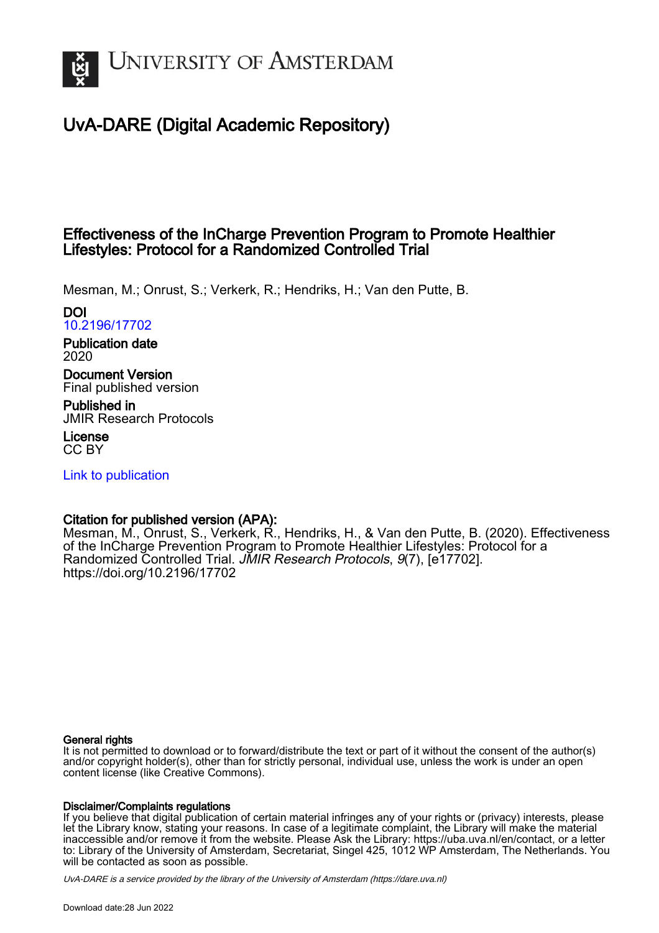

# UvA-DARE (Digital Academic Repository)

# Effectiveness of the InCharge Prevention Program to Promote Healthier Lifestyles: Protocol for a Randomized Controlled Trial

Mesman, M.; Onrust, S.; Verkerk, R.; Hendriks, H.; Van den Putte, B.

DOI [10.2196/17702](https://doi.org/10.2196/17702)

Publication date 2020

Document Version Final published version

Published in JMIR Research Protocols

License CC BY

[Link to publication](https://dare.uva.nl/personal/pure/en/publications/effectiveness-of-the-incharge-prevention-program-to-promote-healthier-lifestyles-protocol-for-a-randomized-controlled-trial(b7035d05-97a6-435d-9424-3a04b7d468a5).html)

# Citation for published version (APA):

Mesman, M., Onrust, S., Verkerk, R., Hendriks, H., & Van den Putte, B. (2020). Effectiveness of the InCharge Prevention Program to Promote Healthier Lifestyles: Protocol for a Randomized Controlled Trial. JMIR Research Protocols, 9(7), [e17702]. <https://doi.org/10.2196/17702>

#### General rights

It is not permitted to download or to forward/distribute the text or part of it without the consent of the author(s) and/or copyright holder(s), other than for strictly personal, individual use, unless the work is under an open content license (like Creative Commons).

#### Disclaimer/Complaints regulations

If you believe that digital publication of certain material infringes any of your rights or (privacy) interests, please let the Library know, stating your reasons. In case of a legitimate complaint, the Library will make the material inaccessible and/or remove it from the website. Please Ask the Library: https://uba.uva.nl/en/contact, or a letter to: Library of the University of Amsterdam, Secretariat, Singel 425, 1012 WP Amsterdam, The Netherlands. You will be contacted as soon as possible.

UvA-DARE is a service provided by the library of the University of Amsterdam (http*s*://dare.uva.nl)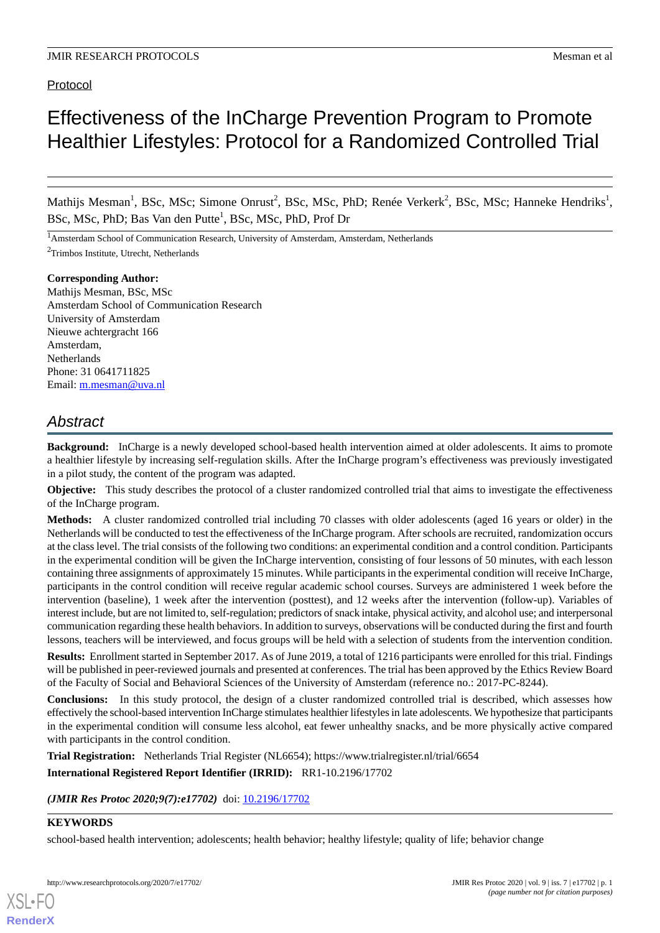# Protocol

# Effectiveness of the InCharge Prevention Program to Promote Healthier Lifestyles: Protocol for a Randomized Controlled Trial

Mathijs Mesman<sup>1</sup>, BSc, MSc; Simone Onrust<sup>2</sup>, BSc, MSc, PhD; Renée Verkerk<sup>2</sup>, BSc, MSc; Hanneke Hendriks<sup>1</sup>, BSc, MSc, PhD; Bas Van den Putte<sup>1</sup>, BSc, MSc, PhD, Prof Dr

<sup>1</sup>Amsterdam School of Communication Research, University of Amsterdam, Amsterdam, Netherlands

<sup>2</sup>Trimbos Institute, Utrecht, Netherlands

#### **Corresponding Author:**

Mathijs Mesman, BSc, MSc Amsterdam School of Communication Research University of Amsterdam Nieuwe achtergracht 166 Amsterdam, Netherlands Phone: 31 0641711825 Email: [m.mesman@uva.nl](mailto:m.mesman@uva.nl)

# *Abstract*

**Background:** InCharge is a newly developed school-based health intervention aimed at older adolescents. It aims to promote a healthier lifestyle by increasing self-regulation skills. After the InCharge program's effectiveness was previously investigated in a pilot study, the content of the program was adapted.

**Objective:** This study describes the protocol of a cluster randomized controlled trial that aims to investigate the effectiveness of the InCharge program.

**Methods:** A cluster randomized controlled trial including 70 classes with older adolescents (aged 16 years or older) in the Netherlands will be conducted to test the effectiveness of the InCharge program. After schools are recruited, randomization occurs at the class level. The trial consists of the following two conditions: an experimental condition and a control condition. Participants in the experimental condition will be given the InCharge intervention, consisting of four lessons of 50 minutes, with each lesson containing three assignments of approximately 15 minutes. While participants in the experimental condition will receive InCharge, participants in the control condition will receive regular academic school courses. Surveys are administered 1 week before the intervention (baseline), 1 week after the intervention (posttest), and 12 weeks after the intervention (follow-up). Variables of interest include, but are not limited to, self-regulation; predictors of snack intake, physical activity, and alcohol use; and interpersonal communication regarding these health behaviors. In addition to surveys, observations will be conducted during the first and fourth lessons, teachers will be interviewed, and focus groups will be held with a selection of students from the intervention condition.

**Results:** Enrollment started in September 2017. As of June 2019, a total of 1216 participants were enrolled for this trial. Findings will be published in peer-reviewed journals and presented at conferences. The trial has been approved by the Ethics Review Board of the Faculty of Social and Behavioral Sciences of the University of Amsterdam (reference no.: 2017-PC-8244).

**Conclusions:** In this study protocol, the design of a cluster randomized controlled trial is described, which assesses how effectively the school-based intervention InCharge stimulates healthier lifestyles in late adolescents. We hypothesize that participants in the experimental condition will consume less alcohol, eat fewer unhealthy snacks, and be more physically active compared with participants in the control condition.

**Trial Registration:** Netherlands Trial Register (NL6654); https://www.trialregister.nl/trial/6654

**International Registered Report Identifier (IRRID):** RR1-10.2196/17702

*(JMIR Res Protoc 2020;9(7):e17702)* doi: [10.2196/17702](http://dx.doi.org/10.2196/17702)

# **KEYWORDS**

[XSL](http://www.w3.org/Style/XSL)•FO **[RenderX](http://www.renderx.com/)**

school-based health intervention; adolescents; health behavior; healthy lifestyle; quality of life; behavior change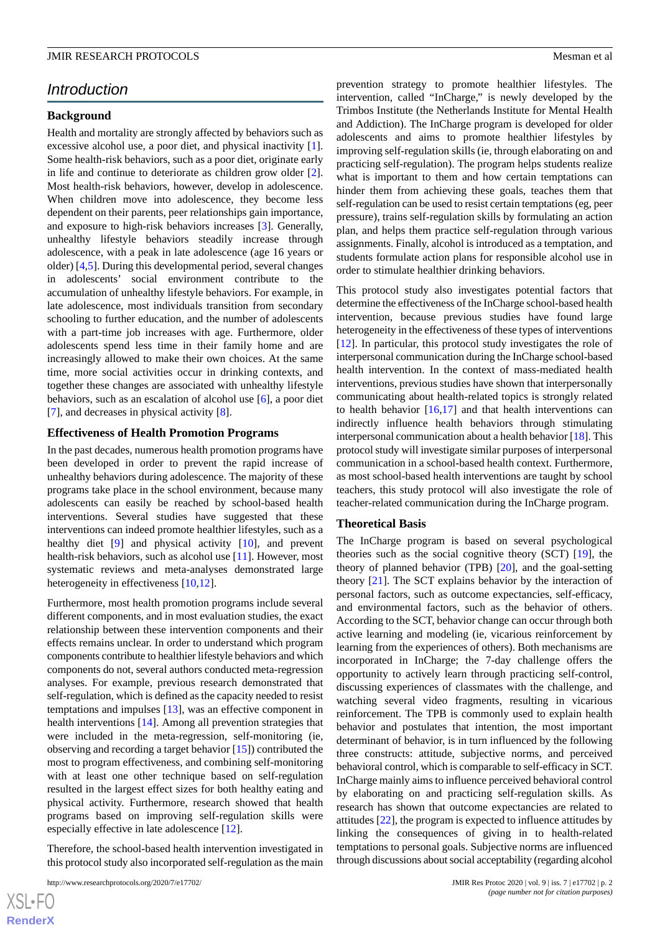# *Introduction*

## **Background**

Health and mortality are strongly affected by behaviors such as excessive alcohol use, a poor diet, and physical inactivity [[1\]](#page-9-0). Some health-risk behaviors, such as a poor diet, originate early in life and continue to deteriorate as children grow older [[2\]](#page-9-1). Most health-risk behaviors, however, develop in adolescence. When children move into adolescence, they become less dependent on their parents, peer relationships gain importance, and exposure to high-risk behaviors increases [\[3](#page-9-2)]. Generally, unhealthy lifestyle behaviors steadily increase through adolescence, with a peak in late adolescence (age 16 years or older) [[4,](#page-9-3)[5](#page-9-4)]. During this developmental period, several changes in adolescents' social environment contribute to the accumulation of unhealthy lifestyle behaviors. For example, in late adolescence, most individuals transition from secondary schooling to further education, and the number of adolescents with a part-time job increases with age. Furthermore, older adolescents spend less time in their family home and are increasingly allowed to make their own choices. At the same time, more social activities occur in drinking contexts, and together these changes are associated with unhealthy lifestyle behaviors, such as an escalation of alcohol use [\[6](#page-9-5)], a poor diet [[7\]](#page-9-6), and decreases in physical activity [[8\]](#page-9-7).

#### **Effectiveness of Health Promotion Programs**

In the past decades, numerous health promotion programs have been developed in order to prevent the rapid increase of unhealthy behaviors during adolescence. The majority of these programs take place in the school environment, because many adolescents can easily be reached by school-based health interventions. Several studies have suggested that these interventions can indeed promote healthier lifestyles, such as a healthy diet [\[9](#page-9-8)] and physical activity [[10\]](#page-10-0), and prevent health-risk behaviors, such as alcohol use [[11\]](#page-10-1). However, most systematic reviews and meta-analyses demonstrated large heterogeneity in effectiveness [\[10](#page-10-0),[12\]](#page-10-2).

Furthermore, most health promotion programs include several different components, and in most evaluation studies, the exact relationship between these intervention components and their effects remains unclear. In order to understand which program components contribute to healthier lifestyle behaviors and which components do not, several authors conducted meta-regression analyses. For example, previous research demonstrated that self-regulation, which is defined as the capacity needed to resist temptations and impulses [[13\]](#page-10-3), was an effective component in health interventions [[14\]](#page-10-4). Among all prevention strategies that were included in the meta-regression, self-monitoring (ie, observing and recording a target behavior [\[15](#page-10-5)]) contributed the most to program effectiveness, and combining self-monitoring with at least one other technique based on self-regulation resulted in the largest effect sizes for both healthy eating and physical activity. Furthermore, research showed that health programs based on improving self-regulation skills were especially effective in late adolescence [\[12](#page-10-2)].

Therefore, the school-based health intervention investigated in this protocol study also incorporated self-regulation as the main prevention strategy to promote healthier lifestyles. The intervention, called "InCharge," is newly developed by the Trimbos Institute (the Netherlands Institute for Mental Health and Addiction). The InCharge program is developed for older adolescents and aims to promote healthier lifestyles by improving self-regulation skills (ie, through elaborating on and practicing self-regulation). The program helps students realize what is important to them and how certain temptations can hinder them from achieving these goals, teaches them that self-regulation can be used to resist certain temptations (eg, peer pressure), trains self-regulation skills by formulating an action plan, and helps them practice self-regulation through various assignments. Finally, alcohol is introduced as a temptation, and students formulate action plans for responsible alcohol use in order to stimulate healthier drinking behaviors.

This protocol study also investigates potential factors that determine the effectiveness of the InCharge school-based health intervention, because previous studies have found large heterogeneity in the effectiveness of these types of interventions [[12\]](#page-10-2). In particular, this protocol study investigates the role of interpersonal communication during the InCharge school-based health intervention. In the context of mass-mediated health interventions, previous studies have shown that interpersonally communicating about health-related topics is strongly related to health behavior  $[16,17]$  $[16,17]$  $[16,17]$  and that health interventions can indirectly influence health behaviors through stimulating interpersonal communication about a health behavior [[18](#page-10-8)]. This protocol study will investigate similar purposes of interpersonal communication in a school-based health context. Furthermore, as most school-based health interventions are taught by school teachers, this study protocol will also investigate the role of teacher-related communication during the InCharge program.

#### **Theoretical Basis**

The InCharge program is based on several psychological theories such as the social cognitive theory (SCT) [[19\]](#page-10-9), the theory of planned behavior (TPB) [[20\]](#page-10-10), and the goal-setting theory [[21\]](#page-10-11). The SCT explains behavior by the interaction of personal factors, such as outcome expectancies, self-efficacy, and environmental factors, such as the behavior of others. According to the SCT, behavior change can occur through both active learning and modeling (ie, vicarious reinforcement by learning from the experiences of others). Both mechanisms are incorporated in InCharge; the 7-day challenge offers the opportunity to actively learn through practicing self-control, discussing experiences of classmates with the challenge, and watching several video fragments, resulting in vicarious reinforcement. The TPB is commonly used to explain health behavior and postulates that intention, the most important determinant of behavior, is in turn influenced by the following three constructs: attitude, subjective norms, and perceived behavioral control, which is comparable to self-efficacy in SCT. InCharge mainly aims to influence perceived behavioral control by elaborating on and practicing self-regulation skills. As research has shown that outcome expectancies are related to attitudes [[22\]](#page-10-12), the program is expected to influence attitudes by linking the consequences of giving in to health-related temptations to personal goals. Subjective norms are influenced through discussions about social acceptability (regarding alcohol

[XSL](http://www.w3.org/Style/XSL)•FO **[RenderX](http://www.renderx.com/)**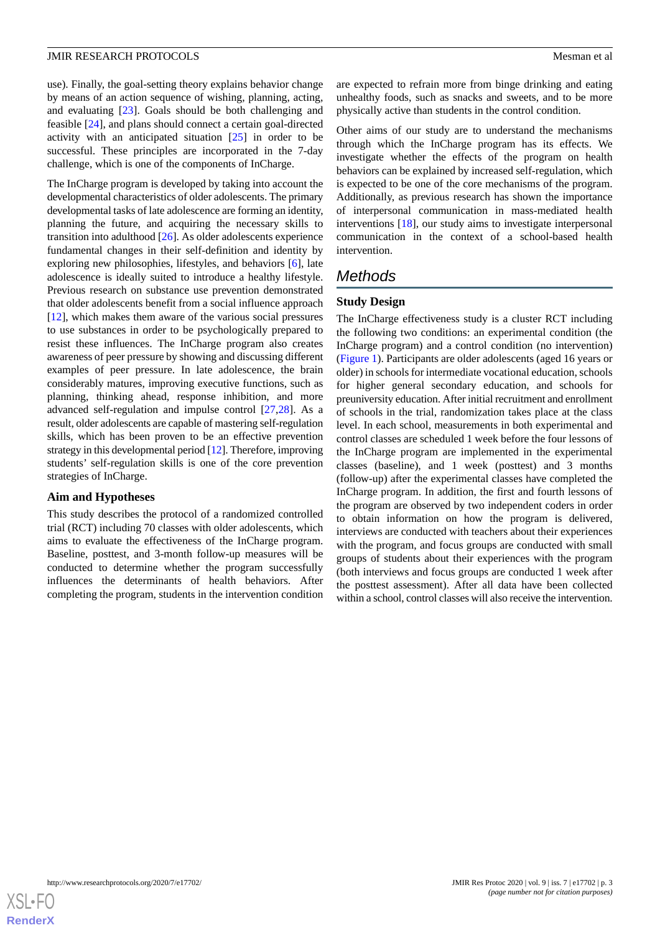use). Finally, the goal-setting theory explains behavior change by means of an action sequence of wishing, planning, acting, and evaluating [\[23](#page-10-13)]. Goals should be both challenging and feasible [[24\]](#page-10-14), and plans should connect a certain goal-directed activity with an anticipated situation [[25\]](#page-10-15) in order to be successful. These principles are incorporated in the 7-day challenge, which is one of the components of InCharge.

The InCharge program is developed by taking into account the developmental characteristics of older adolescents. The primary developmental tasks of late adolescence are forming an identity, planning the future, and acquiring the necessary skills to transition into adulthood [[26\]](#page-10-16). As older adolescents experience fundamental changes in their self-definition and identity by exploring new philosophies, lifestyles, and behaviors [\[6](#page-9-5)], late adolescence is ideally suited to introduce a healthy lifestyle. Previous research on substance use prevention demonstrated that older adolescents benefit from a social influence approach [[12\]](#page-10-2), which makes them aware of the various social pressures to use substances in order to be psychologically prepared to resist these influences. The InCharge program also creates awareness of peer pressure by showing and discussing different examples of peer pressure. In late adolescence, the brain considerably matures, improving executive functions, such as planning, thinking ahead, response inhibition, and more advanced self-regulation and impulse control [[27,](#page-10-17)[28](#page-10-18)]. As a result, older adolescents are capable of mastering self-regulation skills, which has been proven to be an effective prevention strategy in this developmental period [\[12](#page-10-2)]. Therefore, improving students' self-regulation skills is one of the core prevention strategies of InCharge.

#### **Aim and Hypotheses**

This study describes the protocol of a randomized controlled trial (RCT) including 70 classes with older adolescents, which aims to evaluate the effectiveness of the InCharge program. Baseline, posttest, and 3-month follow-up measures will be conducted to determine whether the program successfully influences the determinants of health behaviors. After completing the program, students in the intervention condition

are expected to refrain more from binge drinking and eating unhealthy foods, such as snacks and sweets, and to be more physically active than students in the control condition.

Other aims of our study are to understand the mechanisms through which the InCharge program has its effects. We investigate whether the effects of the program on health behaviors can be explained by increased self-regulation, which is expected to be one of the core mechanisms of the program. Additionally, as previous research has shown the importance of interpersonal communication in mass-mediated health interventions [\[18](#page-10-8)], our study aims to investigate interpersonal communication in the context of a school-based health intervention.

## *Methods*

#### **Study Design**

The InCharge effectiveness study is a cluster RCT including the following two conditions: an experimental condition (the InCharge program) and a control condition (no intervention) ([Figure 1](#page-4-0)). Participants are older adolescents (aged 16 years or older) in schools for intermediate vocational education, schools for higher general secondary education, and schools for preuniversity education. After initial recruitment and enrollment of schools in the trial, randomization takes place at the class level. In each school, measurements in both experimental and control classes are scheduled 1 week before the four lessons of the InCharge program are implemented in the experimental classes (baseline), and 1 week (posttest) and 3 months (follow-up) after the experimental classes have completed the InCharge program. In addition, the first and fourth lessons of the program are observed by two independent coders in order to obtain information on how the program is delivered, interviews are conducted with teachers about their experiences with the program, and focus groups are conducted with small groups of students about their experiences with the program (both interviews and focus groups are conducted 1 week after the posttest assessment). After all data have been collected within a school, control classes will also receive the intervention.

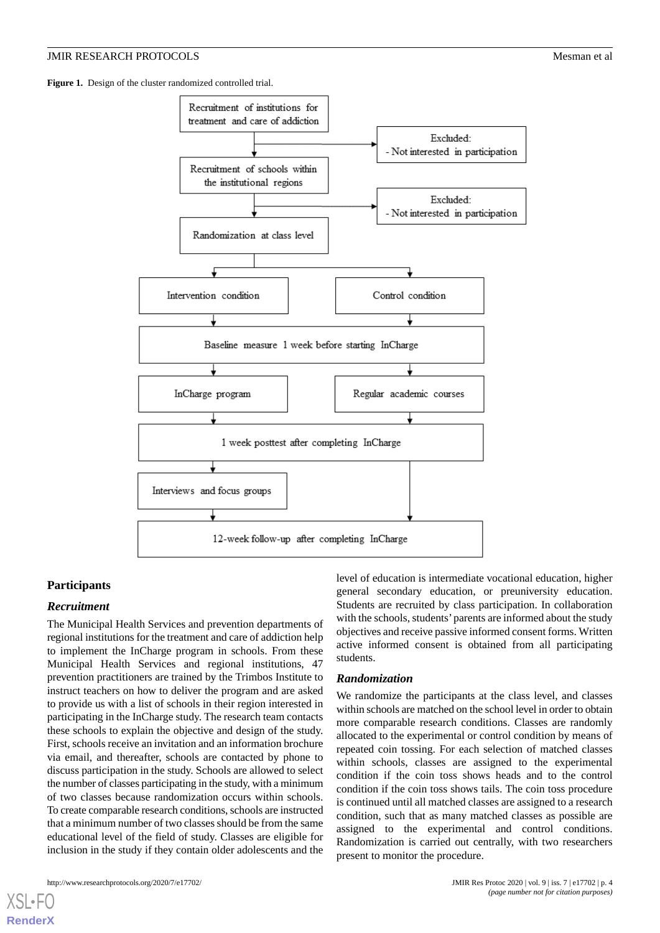<span id="page-4-0"></span>Figure 1. Design of the cluster randomized controlled trial.



# **Participants**

#### *Recruitment*

The Municipal Health Services and prevention departments of regional institutions for the treatment and care of addiction help to implement the InCharge program in schools. From these Municipal Health Services and regional institutions, 47 prevention practitioners are trained by the Trimbos Institute to instruct teachers on how to deliver the program and are asked to provide us with a list of schools in their region interested in participating in the InCharge study. The research team contacts these schools to explain the objective and design of the study. First, schools receive an invitation and an information brochure via email, and thereafter, schools are contacted by phone to discuss participation in the study. Schools are allowed to select the number of classes participating in the study, with a minimum of two classes because randomization occurs within schools. To create comparable research conditions, schools are instructed that a minimum number of two classes should be from the same educational level of the field of study. Classes are eligible for inclusion in the study if they contain older adolescents and the

[XSL](http://www.w3.org/Style/XSL)•FO **[RenderX](http://www.renderx.com/)**

level of education is intermediate vocational education, higher general secondary education, or preuniversity education. Students are recruited by class participation. In collaboration with the schools, students'parents are informed about the study objectives and receive passive informed consent forms. Written active informed consent is obtained from all participating students.

#### *Randomization*

We randomize the participants at the class level, and classes within schools are matched on the school level in order to obtain more comparable research conditions. Classes are randomly allocated to the experimental or control condition by means of repeated coin tossing. For each selection of matched classes within schools, classes are assigned to the experimental condition if the coin toss shows heads and to the control condition if the coin toss shows tails. The coin toss procedure is continued until all matched classes are assigned to a research condition, such that as many matched classes as possible are assigned to the experimental and control conditions. Randomization is carried out centrally, with two researchers present to monitor the procedure.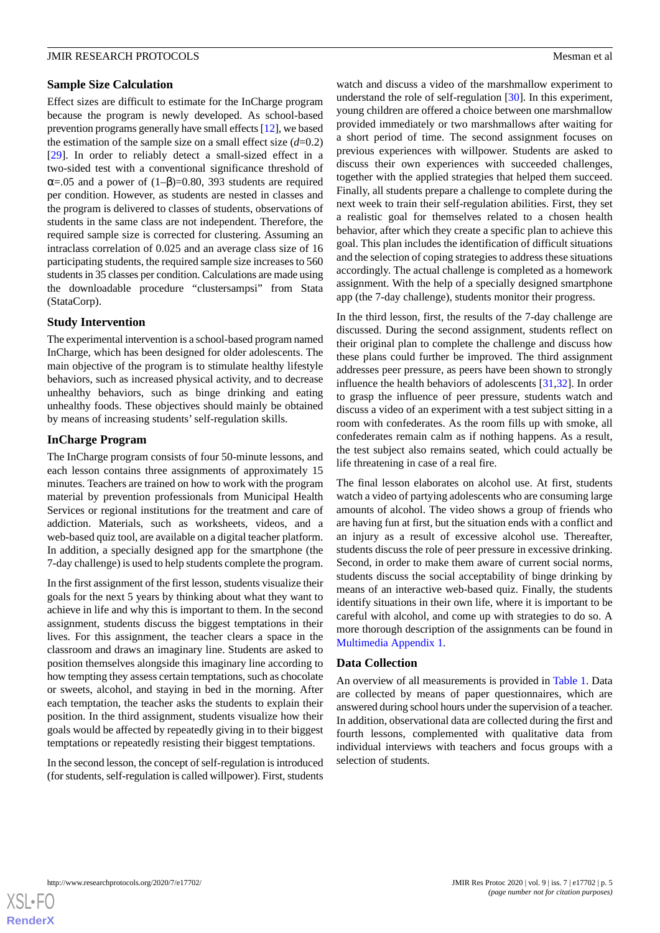#### **Sample Size Calculation**

Effect sizes are difficult to estimate for the InCharge program because the program is newly developed. As school-based prevention programs generally have small effects [\[12](#page-10-2)], we based the estimation of the sample size on a small effect size  $(d=0.2)$ [[29\]](#page-10-19). In order to reliably detect a small-sized effect in a two-sided test with a conventional significance threshold of  $\alpha$ =.05 and a power of (1–β)=0.80, 393 students are required per condition. However, as students are nested in classes and the program is delivered to classes of students, observations of students in the same class are not independent. Therefore, the required sample size is corrected for clustering. Assuming an intraclass correlation of 0.025 and an average class size of 16 participating students, the required sample size increases to 560 students in 35 classes per condition. Calculations are made using the downloadable procedure "clustersampsi" from Stata (StataCorp).

#### **Study Intervention**

The experimental intervention is a school-based program named InCharge, which has been designed for older adolescents. The main objective of the program is to stimulate healthy lifestyle behaviors, such as increased physical activity, and to decrease unhealthy behaviors, such as binge drinking and eating unhealthy foods. These objectives should mainly be obtained by means of increasing students' self-regulation skills.

#### **InCharge Program**

The InCharge program consists of four 50-minute lessons, and each lesson contains three assignments of approximately 15 minutes. Teachers are trained on how to work with the program material by prevention professionals from Municipal Health Services or regional institutions for the treatment and care of addiction. Materials, such as worksheets, videos, and a web-based quiz tool, are available on a digital teacher platform. In addition, a specially designed app for the smartphone (the 7-day challenge) is used to help students complete the program.

In the first assignment of the first lesson, students visualize their goals for the next 5 years by thinking about what they want to achieve in life and why this is important to them. In the second assignment, students discuss the biggest temptations in their lives. For this assignment, the teacher clears a space in the classroom and draws an imaginary line. Students are asked to position themselves alongside this imaginary line according to how tempting they assess certain temptations, such as chocolate or sweets, alcohol, and staying in bed in the morning. After each temptation, the teacher asks the students to explain their position. In the third assignment, students visualize how their goals would be affected by repeatedly giving in to their biggest temptations or repeatedly resisting their biggest temptations.

In the second lesson, the concept of self-regulation is introduced (for students, self-regulation is called willpower). First, students

watch and discuss a video of the marshmallow experiment to understand the role of self-regulation [[30\]](#page-10-20). In this experiment, young children are offered a choice between one marshmallow provided immediately or two marshmallows after waiting for a short period of time. The second assignment focuses on previous experiences with willpower. Students are asked to discuss their own experiences with succeeded challenges, together with the applied strategies that helped them succeed. Finally, all students prepare a challenge to complete during the next week to train their self-regulation abilities. First, they set a realistic goal for themselves related to a chosen health behavior, after which they create a specific plan to achieve this goal. This plan includes the identification of difficult situations and the selection of coping strategies to address these situations accordingly. The actual challenge is completed as a homework assignment. With the help of a specially designed smartphone app (the 7-day challenge), students monitor their progress.

In the third lesson, first, the results of the 7-day challenge are discussed. During the second assignment, students reflect on their original plan to complete the challenge and discuss how these plans could further be improved. The third assignment addresses peer pressure, as peers have been shown to strongly influence the health behaviors of adolescents [[31,](#page-10-21)[32](#page-10-22)]. In order to grasp the influence of peer pressure, students watch and discuss a video of an experiment with a test subject sitting in a room with confederates. As the room fills up with smoke, all confederates remain calm as if nothing happens. As a result, the test subject also remains seated, which could actually be life threatening in case of a real fire.

The final lesson elaborates on alcohol use. At first, students watch a video of partying adolescents who are consuming large amounts of alcohol. The video shows a group of friends who are having fun at first, but the situation ends with a conflict and an injury as a result of excessive alcohol use. Thereafter, students discuss the role of peer pressure in excessive drinking. Second, in order to make them aware of current social norms, students discuss the social acceptability of binge drinking by means of an interactive web-based quiz. Finally, the students identify situations in their own life, where it is important to be careful with alcohol, and come up with strategies to do so. A more thorough description of the assignments can be found in [Multimedia Appendix 1.](#page-9-9)

#### **Data Collection**

An overview of all measurements is provided in [Table 1.](#page-6-0) Data are collected by means of paper questionnaires, which are answered during school hours under the supervision of a teacher. In addition, observational data are collected during the first and fourth lessons, complemented with qualitative data from individual interviews with teachers and focus groups with a selection of students.

[XSL](http://www.w3.org/Style/XSL)•FO **[RenderX](http://www.renderx.com/)**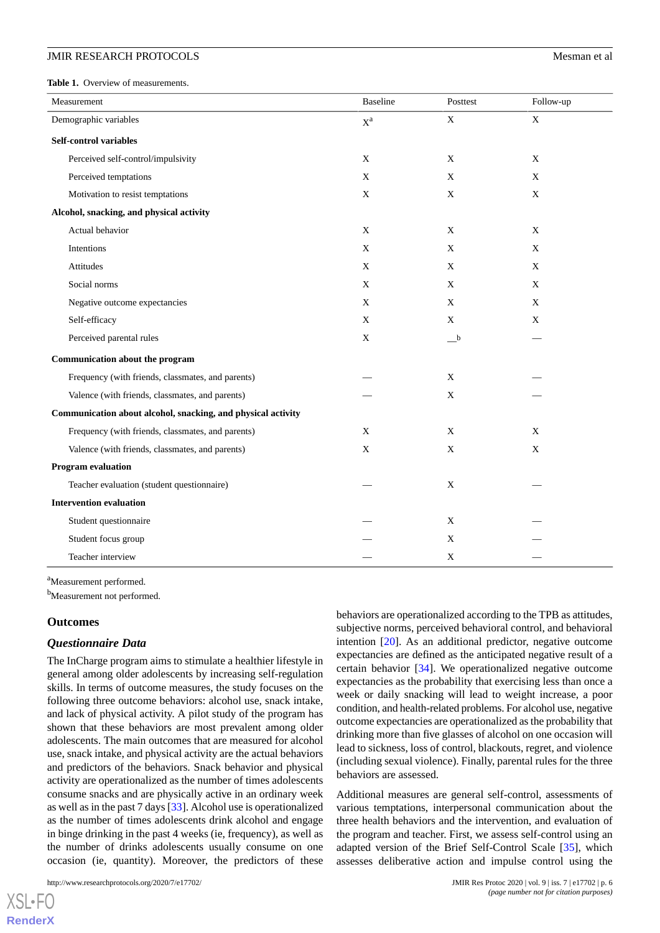#### **JMIR RESEARCH PROTOCOLS SUMPARE ASSESSED ASSESSED ASSESSED ASSESSED ASSESSED ASSESSED ASSESSED ASSESSED AND Mesman et al.**

<span id="page-6-0"></span>Table 1. Overview of measurements.

| Measurement                                                  | <b>Baseline</b> | Posttest            | Follow-up   |
|--------------------------------------------------------------|-----------------|---------------------|-------------|
| Demographic variables                                        | $X^a$           | $\mathbf X$         | $\mathbf X$ |
| <b>Self-control variables</b>                                |                 |                     |             |
| Perceived self-control/impulsivity                           | X               | X                   | X           |
| Perceived temptations                                        | X               | X                   | X           |
| Motivation to resist temptations                             | X               | X                   | $\mathbf X$ |
| Alcohol, snacking, and physical activity                     |                 |                     |             |
| Actual behavior                                              | X               | X                   | X           |
| Intentions                                                   | $\mathbf X$     | X                   | X           |
| Attitudes                                                    | $\mathbf X$     | X                   | X           |
| Social norms                                                 | X               | X                   | X           |
| Negative outcome expectancies                                | X               | X                   | X           |
| Self-efficacy                                                | X               | X                   | X           |
| Perceived parental rules                                     | X               | $_{-}^{\mathrm{b}}$ |             |
| Communication about the program                              |                 |                     |             |
| Frequency (with friends, classmates, and parents)            |                 | X                   |             |
| Valence (with friends, classmates, and parents)              |                 | X                   |             |
| Communication about alcohol, snacking, and physical activity |                 |                     |             |
| Frequency (with friends, classmates, and parents)            | $\mathbf X$     | X                   | X           |
| Valence (with friends, classmates, and parents)              | X               | X                   | X           |
| <b>Program evaluation</b>                                    |                 |                     |             |
| Teacher evaluation (student questionnaire)                   |                 | X                   |             |
| <b>Intervention evaluation</b>                               |                 |                     |             |
| Student questionnaire                                        |                 | X                   |             |
| Student focus group                                          |                 | X                   |             |
| Teacher interview                                            |                 | X                   |             |

<sup>a</sup>Measurement performed.

b<sub>Measurement not performed.</sub>

#### **Outcomes**

[XSL](http://www.w3.org/Style/XSL)•FO **[RenderX](http://www.renderx.com/)**

#### *Questionnaire Data*

The InCharge program aims to stimulate a healthier lifestyle in general among older adolescents by increasing self-regulation skills. In terms of outcome measures, the study focuses on the following three outcome behaviors: alcohol use, snack intake, and lack of physical activity. A pilot study of the program has shown that these behaviors are most prevalent among older adolescents. The main outcomes that are measured for alcohol use, snack intake, and physical activity are the actual behaviors and predictors of the behaviors. Snack behavior and physical activity are operationalized as the number of times adolescents consume snacks and are physically active in an ordinary week as well as in the past 7 days [\[33](#page-10-23)]. Alcohol use is operationalized as the number of times adolescents drink alcohol and engage in binge drinking in the past 4 weeks (ie, frequency), as well as the number of drinks adolescents usually consume on one occasion (ie, quantity). Moreover, the predictors of these

http://www.researchprotocols.org/2020/7/e17702/ JMIR Res Protoc 2020 | vol. 9 | iss. 7 | e17702 | p. 6

behaviors are operationalized according to the TPB as attitudes, subjective norms, perceived behavioral control, and behavioral intention [\[20](#page-10-10)]. As an additional predictor, negative outcome expectancies are defined as the anticipated negative result of a certain behavior [[34\]](#page-10-24). We operationalized negative outcome expectancies as the probability that exercising less than once a week or daily snacking will lead to weight increase, a poor condition, and health-related problems. For alcohol use, negative outcome expectancies are operationalized as the probability that drinking more than five glasses of alcohol on one occasion will lead to sickness, loss of control, blackouts, regret, and violence (including sexual violence). Finally, parental rules for the three behaviors are assessed.

Additional measures are general self-control, assessments of various temptations, interpersonal communication about the three health behaviors and the intervention, and evaluation of the program and teacher. First, we assess self-control using an adapted version of the Brief Self-Control Scale [\[35](#page-10-25)], which assesses deliberative action and impulse control using the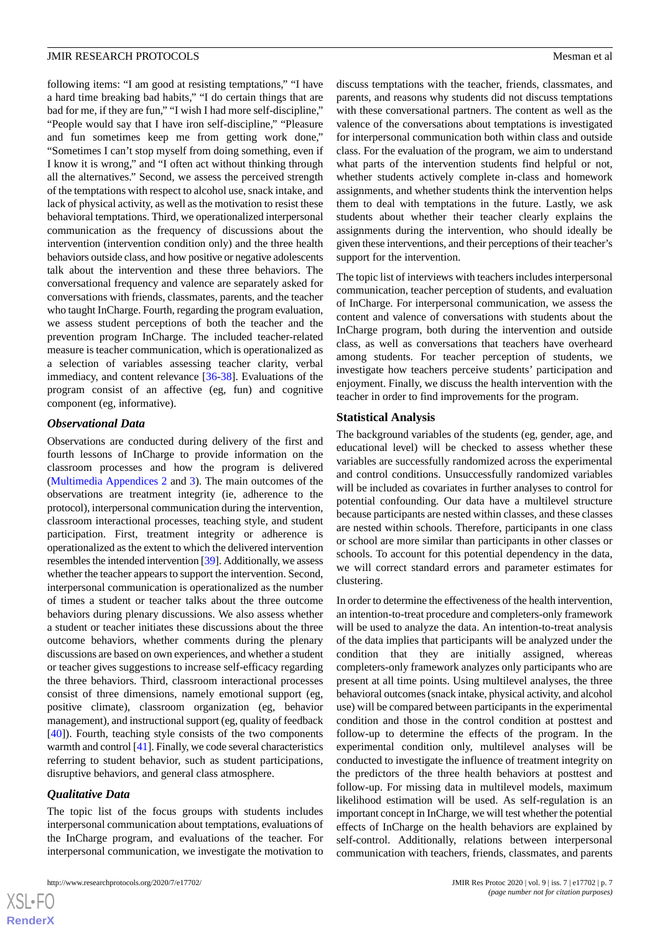following items: "I am good at resisting temptations," "I have a hard time breaking bad habits," "I do certain things that are bad for me, if they are fun," "I wish I had more self-discipline," "People would say that I have iron self-discipline," "Pleasure and fun sometimes keep me from getting work done," "Sometimes I can't stop myself from doing something, even if I know it is wrong," and "I often act without thinking through all the alternatives." Second, we assess the perceived strength of the temptations with respect to alcohol use, snack intake, and lack of physical activity, as well as the motivation to resist these behavioral temptations. Third, we operationalized interpersonal communication as the frequency of discussions about the intervention (intervention condition only) and the three health behaviors outside class, and how positive or negative adolescents talk about the intervention and these three behaviors. The conversational frequency and valence are separately asked for conversations with friends, classmates, parents, and the teacher who taught InCharge. Fourth, regarding the program evaluation, we assess student perceptions of both the teacher and the prevention program InCharge. The included teacher-related measure is teacher communication, which is operationalized as a selection of variables assessing teacher clarity, verbal immediacy, and content relevance [[36](#page-10-26)[-38](#page-11-0)]. Evaluations of the program consist of an affective (eg, fun) and cognitive component (eg, informative).

#### *Observational Data*

Observations are conducted during delivery of the first and fourth lessons of InCharge to provide information on the classroom processes and how the program is delivered ([Multimedia Appendices 2](#page-9-10) and [3](#page-9-11)). The main outcomes of the observations are treatment integrity (ie, adherence to the protocol), interpersonal communication during the intervention, classroom interactional processes, teaching style, and student participation. First, treatment integrity or adherence is operationalized as the extent to which the delivered intervention resembles the intended intervention [\[39](#page-11-1)]. Additionally, we assess whether the teacher appears to support the intervention. Second, interpersonal communication is operationalized as the number of times a student or teacher talks about the three outcome behaviors during plenary discussions. We also assess whether a student or teacher initiates these discussions about the three outcome behaviors, whether comments during the plenary discussions are based on own experiences, and whether a student or teacher gives suggestions to increase self-efficacy regarding the three behaviors. Third, classroom interactional processes consist of three dimensions, namely emotional support (eg, positive climate), classroom organization (eg, behavior management), and instructional support (eg, quality of feedback [[40\]](#page-11-2)). Fourth, teaching style consists of the two components warmth and control [[41](#page-11-3)]. Finally, we code several characteristics referring to student behavior, such as student participations, disruptive behaviors, and general class atmosphere.

#### *Qualitative Data*

The topic list of the focus groups with students includes interpersonal communication about temptations, evaluations of the InCharge program, and evaluations of the teacher. For interpersonal communication, we investigate the motivation to

discuss temptations with the teacher, friends, classmates, and parents, and reasons why students did not discuss temptations with these conversational partners. The content as well as the valence of the conversations about temptations is investigated for interpersonal communication both within class and outside class. For the evaluation of the program, we aim to understand what parts of the intervention students find helpful or not, whether students actively complete in-class and homework assignments, and whether students think the intervention helps them to deal with temptations in the future. Lastly, we ask students about whether their teacher clearly explains the assignments during the intervention, who should ideally be given these interventions, and their perceptions of their teacher's support for the intervention.

The topic list of interviews with teachers includes interpersonal communication, teacher perception of students, and evaluation of InCharge. For interpersonal communication, we assess the content and valence of conversations with students about the InCharge program, both during the intervention and outside class, as well as conversations that teachers have overheard among students. For teacher perception of students, we investigate how teachers perceive students' participation and enjoyment. Finally, we discuss the health intervention with the teacher in order to find improvements for the program.

#### **Statistical Analysis**

The background variables of the students (eg, gender, age, and educational level) will be checked to assess whether these variables are successfully randomized across the experimental and control conditions. Unsuccessfully randomized variables will be included as covariates in further analyses to control for potential confounding. Our data have a multilevel structure because participants are nested within classes, and these classes are nested within schools. Therefore, participants in one class or school are more similar than participants in other classes or schools. To account for this potential dependency in the data, we will correct standard errors and parameter estimates for clustering.

In order to determine the effectiveness of the health intervention, an intention-to-treat procedure and completers-only framework will be used to analyze the data. An intention-to-treat analysis of the data implies that participants will be analyzed under the condition that they are initially assigned, whereas completers-only framework analyzes only participants who are present at all time points. Using multilevel analyses, the three behavioral outcomes (snack intake, physical activity, and alcohol use) will be compared between participants in the experimental condition and those in the control condition at posttest and follow-up to determine the effects of the program. In the experimental condition only, multilevel analyses will be conducted to investigate the influence of treatment integrity on the predictors of the three health behaviors at posttest and follow-up. For missing data in multilevel models, maximum likelihood estimation will be used. As self-regulation is an important concept in InCharge, we will test whether the potential effects of InCharge on the health behaviors are explained by self-control. Additionally, relations between interpersonal communication with teachers, friends, classmates, and parents

 $XS$  $\cdot$ FC **[RenderX](http://www.renderx.com/)**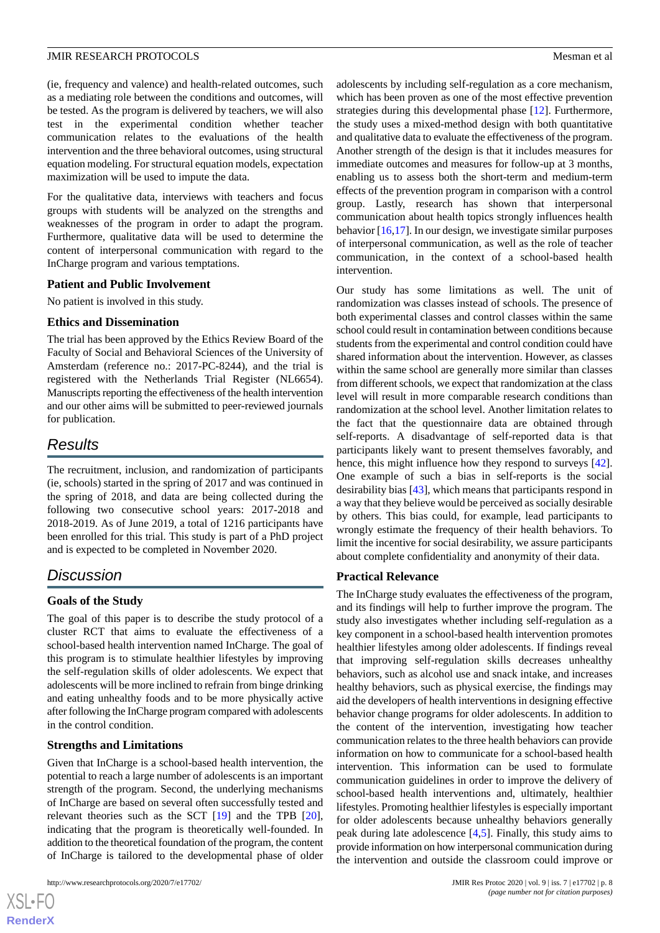(ie, frequency and valence) and health-related outcomes, such as a mediating role between the conditions and outcomes, will be tested. As the program is delivered by teachers, we will also test in the experimental condition whether teacher communication relates to the evaluations of the health intervention and the three behavioral outcomes, using structural equation modeling. For structural equation models, expectation maximization will be used to impute the data.

For the qualitative data, interviews with teachers and focus groups with students will be analyzed on the strengths and weaknesses of the program in order to adapt the program. Furthermore, qualitative data will be used to determine the content of interpersonal communication with regard to the InCharge program and various temptations.

#### **Patient and Public Involvement**

No patient is involved in this study.

# **Ethics and Dissemination**

The trial has been approved by the Ethics Review Board of the Faculty of Social and Behavioral Sciences of the University of Amsterdam (reference no.: 2017-PC-8244), and the trial is registered with the Netherlands Trial Register (NL6654). Manuscripts reporting the effectiveness of the health intervention and our other aims will be submitted to peer-reviewed journals for publication.

# *Results*

The recruitment, inclusion, and randomization of participants (ie, schools) started in the spring of 2017 and was continued in the spring of 2018, and data are being collected during the following two consecutive school years: 2017-2018 and 2018-2019. As of June 2019, a total of 1216 participants have been enrolled for this trial. This study is part of a PhD project and is expected to be completed in November 2020.

# *Discussion*

# **Goals of the Study**

The goal of this paper is to describe the study protocol of a cluster RCT that aims to evaluate the effectiveness of a school-based health intervention named InCharge. The goal of this program is to stimulate healthier lifestyles by improving the self-regulation skills of older adolescents. We expect that adolescents will be more inclined to refrain from binge drinking and eating unhealthy foods and to be more physically active after following the InCharge program compared with adolescents in the control condition.

# **Strengths and Limitations**

Given that InCharge is a school-based health intervention, the potential to reach a large number of adolescents is an important strength of the program. Second, the underlying mechanisms of InCharge are based on several often successfully tested and relevant theories such as the SCT [\[19](#page-10-9)] and the TPB [[20\]](#page-10-10), indicating that the program is theoretically well-founded. In addition to the theoretical foundation of the program, the content of InCharge is tailored to the developmental phase of older

adolescents by including self-regulation as a core mechanism, which has been proven as one of the most effective prevention strategies during this developmental phase [\[12](#page-10-2)]. Furthermore, the study uses a mixed-method design with both quantitative and qualitative data to evaluate the effectiveness of the program. Another strength of the design is that it includes measures for immediate outcomes and measures for follow-up at 3 months, enabling us to assess both the short-term and medium-term effects of the prevention program in comparison with a control group. Lastly, research has shown that interpersonal communication about health topics strongly influences health behavior [[16,](#page-10-6)[17\]](#page-10-7). In our design, we investigate similar purposes of interpersonal communication, as well as the role of teacher communication, in the context of a school-based health intervention.

Our study has some limitations as well. The unit of randomization was classes instead of schools. The presence of both experimental classes and control classes within the same school could result in contamination between conditions because students from the experimental and control condition could have shared information about the intervention. However, as classes within the same school are generally more similar than classes from different schools, we expect that randomization at the class level will result in more comparable research conditions than randomization at the school level. Another limitation relates to the fact that the questionnaire data are obtained through self-reports. A disadvantage of self-reported data is that participants likely want to present themselves favorably, and hence, this might influence how they respond to surveys [[42\]](#page-11-4). One example of such a bias in self-reports is the social desirability bias [\[43](#page-11-5)], which means that participants respond in a way that they believe would be perceived as socially desirable by others. This bias could, for example, lead participants to wrongly estimate the frequency of their health behaviors. To limit the incentive for social desirability, we assure participants about complete confidentiality and anonymity of their data.

# **Practical Relevance**

The InCharge study evaluates the effectiveness of the program, and its findings will help to further improve the program. The study also investigates whether including self-regulation as a key component in a school-based health intervention promotes healthier lifestyles among older adolescents. If findings reveal that improving self-regulation skills decreases unhealthy behaviors, such as alcohol use and snack intake, and increases healthy behaviors, such as physical exercise, the findings may aid the developers of health interventions in designing effective behavior change programs for older adolescents. In addition to the content of the intervention, investigating how teacher communication relates to the three health behaviors can provide information on how to communicate for a school-based health intervention. This information can be used to formulate communication guidelines in order to improve the delivery of school-based health interventions and, ultimately, healthier lifestyles. Promoting healthier lifestyles is especially important for older adolescents because unhealthy behaviors generally peak during late adolescence [[4,](#page-9-3)[5](#page-9-4)]. Finally, this study aims to provide information on how interpersonal communication during the intervention and outside the classroom could improve or

 $XS$  • FC **[RenderX](http://www.renderx.com/)**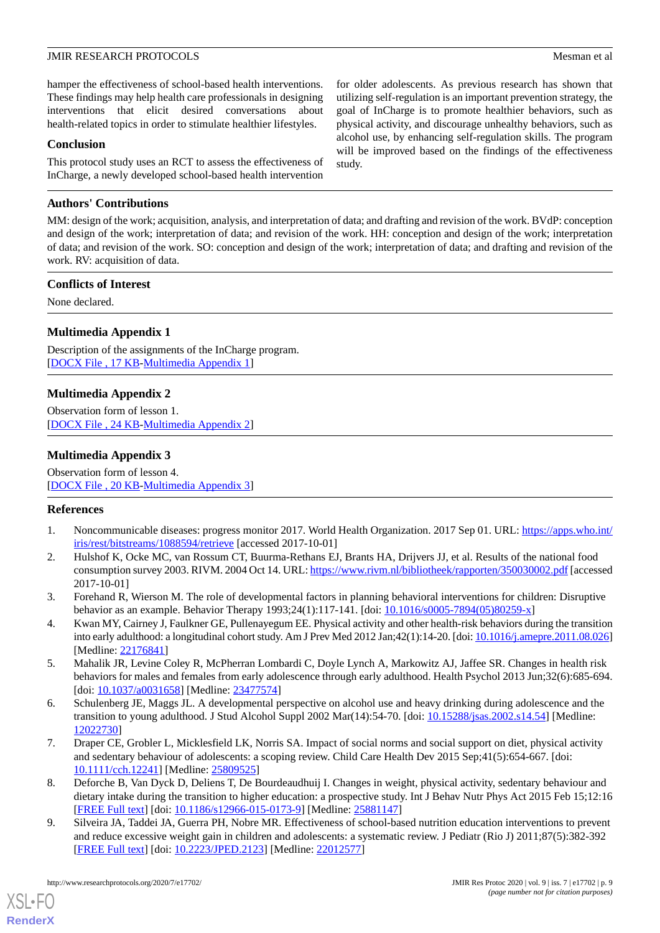hamper the effectiveness of school-based health interventions. These findings may help health care professionals in designing interventions that elicit desired conversations about health-related topics in order to stimulate healthier lifestyles.

#### **Conclusion**

This protocol study uses an RCT to assess the effectiveness of InCharge, a newly developed school-based health intervention

#### **Authors' Contributions**

MM: design of the work; acquisition, analysis, and interpretation of data; and drafting and revision of the work. BVdP: conception and design of the work; interpretation of data; and revision of the work. HH: conception and design of the work; interpretation of data; and revision of the work. SO: conception and design of the work; interpretation of data; and drafting and revision of the work. RV: acquisition of data.

#### **Conflicts of Interest**

<span id="page-9-9"></span>None declared.

## **Multimedia Appendix 1**

<span id="page-9-10"></span>Description of the assignments of the InCharge program. [DOCX File, 17 KB-[Multimedia Appendix 1\]](https://jmir.org/api/download?alt_name=resprot_v9i7e17702_app1.docx&filename=7bd6017466f3006594e4e2247c8676c5.docx)

## **Multimedia Appendix 2**

<span id="page-9-11"></span>Observation form of lesson 1. [[DOCX File , 24 KB](https://jmir.org/api/download?alt_name=resprot_v9i7e17702_app2.docx&filename=c010febe75a01365efad64a478f5a16a.docx)-[Multimedia Appendix 2\]](https://jmir.org/api/download?alt_name=resprot_v9i7e17702_app2.docx&filename=c010febe75a01365efad64a478f5a16a.docx)

#### **Multimedia Appendix 3**

<span id="page-9-0"></span>Observation form of lesson 4. [[DOCX File , 20 KB](https://jmir.org/api/download?alt_name=resprot_v9i7e17702_app3.docx&filename=5162f00891ca8213a2d999bf8264f2e9.docx)-[Multimedia Appendix 3\]](https://jmir.org/api/download?alt_name=resprot_v9i7e17702_app3.docx&filename=5162f00891ca8213a2d999bf8264f2e9.docx)

#### <span id="page-9-1"></span>**References**

- <span id="page-9-2"></span>1. Noncommunicable diseases: progress monitor 2017. World Health Organization. 2017 Sep 01. URL: [https://apps.who.int/](https://apps.who.int/iris/rest/bitstreams/1088594/retrieve) [iris/rest/bitstreams/1088594/retrieve](https://apps.who.int/iris/rest/bitstreams/1088594/retrieve) [accessed 2017-10-01]
- <span id="page-9-3"></span>2. Hulshof K, Ocke MC, van Rossum CT, Buurma-Rethans EJ, Brants HA, Drijvers JJ, et al. Results of the national food consumption survey 2003. RIVM. 2004 Oct 14. URL:<https://www.rivm.nl/bibliotheek/rapporten/350030002.pdf> [accessed 2017-10-01]
- <span id="page-9-4"></span>3. Forehand R, Wierson M. The role of developmental factors in planning behavioral interventions for children: Disruptive behavior as an example. Behavior Therapy 1993;24(1):117-141. [doi:  $10.1016/\sqrt{s}0005-7894(05)\sqrt{80259-x}$ ]
- <span id="page-9-5"></span>4. Kwan MY, Cairney J, Faulkner GE, Pullenayegum EE. Physical activity and other health-risk behaviors during the transition into early adulthood: a longitudinal cohort study. Am J Prev Med 2012 Jan;42(1):14-20. [doi: [10.1016/j.amepre.2011.08.026\]](http://dx.doi.org/10.1016/j.amepre.2011.08.026) [Medline: [22176841](http://www.ncbi.nlm.nih.gov/entrez/query.fcgi?cmd=Retrieve&db=PubMed&list_uids=22176841&dopt=Abstract)]
- <span id="page-9-6"></span>5. Mahalik JR, Levine Coley R, McPherran Lombardi C, Doyle Lynch A, Markowitz AJ, Jaffee SR. Changes in health risk behaviors for males and females from early adolescence through early adulthood. Health Psychol 2013 Jun;32(6):685-694. [doi: [10.1037/a0031658\]](http://dx.doi.org/10.1037/a0031658) [Medline: [23477574](http://www.ncbi.nlm.nih.gov/entrez/query.fcgi?cmd=Retrieve&db=PubMed&list_uids=23477574&dopt=Abstract)]
- <span id="page-9-7"></span>6. Schulenberg JE, Maggs JL. A developmental perspective on alcohol use and heavy drinking during adolescence and the transition to young adulthood. J Stud Alcohol Suppl 2002 Mar(14):54-70. [doi: [10.15288/jsas.2002.s14.54](http://dx.doi.org/10.15288/jsas.2002.s14.54)] [Medline: [12022730](http://www.ncbi.nlm.nih.gov/entrez/query.fcgi?cmd=Retrieve&db=PubMed&list_uids=12022730&dopt=Abstract)]
- <span id="page-9-8"></span>7. Draper CE, Grobler L, Micklesfield LK, Norris SA. Impact of social norms and social support on diet, physical activity and sedentary behaviour of adolescents: a scoping review. Child Care Health Dev 2015 Sep;41(5):654-667. [doi: [10.1111/cch.12241](http://dx.doi.org/10.1111/cch.12241)] [Medline: [25809525\]](http://www.ncbi.nlm.nih.gov/entrez/query.fcgi?cmd=Retrieve&db=PubMed&list_uids=25809525&dopt=Abstract)
- 8. Deforche B, Van Dyck D, Deliens T, De Bourdeaudhuij I. Changes in weight, physical activity, sedentary behaviour and dietary intake during the transition to higher education: a prospective study. Int J Behav Nutr Phys Act 2015 Feb 15;12:16 [[FREE Full text](https://ijbnpa.biomedcentral.com/articles/10.1186/s12966-015-0173-9)] [doi: [10.1186/s12966-015-0173-9\]](http://dx.doi.org/10.1186/s12966-015-0173-9) [Medline: [25881147](http://www.ncbi.nlm.nih.gov/entrez/query.fcgi?cmd=Retrieve&db=PubMed&list_uids=25881147&dopt=Abstract)]
- 9. Silveira JA, Taddei JA, Guerra PH, Nobre MR. Effectiveness of school-based nutrition education interventions to prevent and reduce excessive weight gain in children and adolescents: a systematic review. J Pediatr (Rio J) 2011;87(5):382-392 [[FREE Full text](http://dx.doi.org/10.2223/JPED.2123)] [doi: [10.2223/JPED.2123](http://dx.doi.org/10.2223/JPED.2123)] [Medline: [22012577\]](http://www.ncbi.nlm.nih.gov/entrez/query.fcgi?cmd=Retrieve&db=PubMed&list_uids=22012577&dopt=Abstract)

[XSL](http://www.w3.org/Style/XSL)•FO **[RenderX](http://www.renderx.com/)**

for older adolescents. As previous research has shown that utilizing self-regulation is an important prevention strategy, the goal of InCharge is to promote healthier behaviors, such as physical activity, and discourage unhealthy behaviors, such as alcohol use, by enhancing self-regulation skills. The program will be improved based on the findings of the effectiveness study.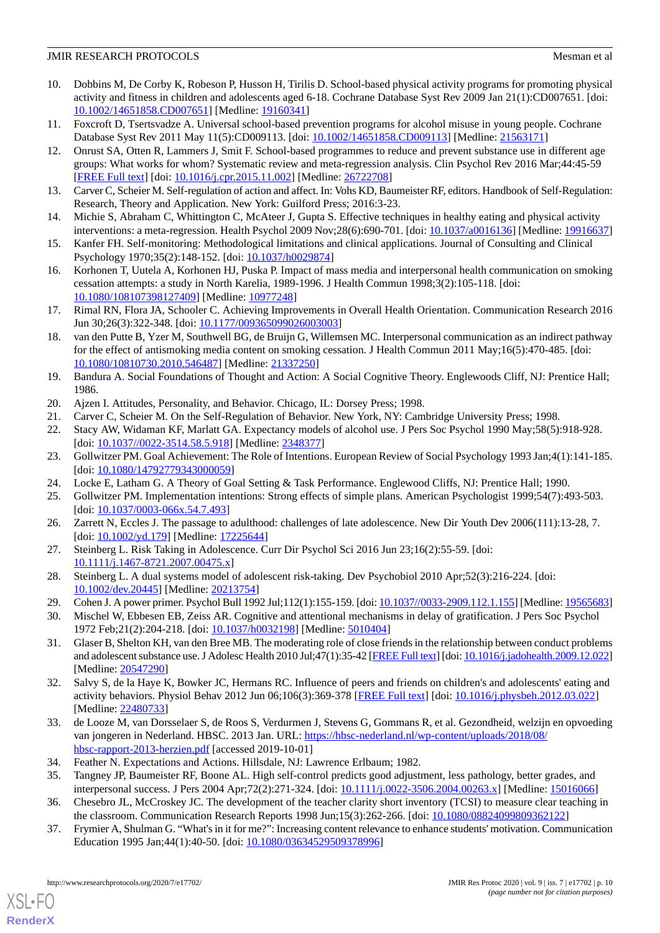- <span id="page-10-0"></span>10. Dobbins M, De Corby K, Robeson P, Husson H, Tirilis D. School-based physical activity programs for promoting physical activity and fitness in children and adolescents aged 6-18. Cochrane Database Syst Rev 2009 Jan 21(1):CD007651. [doi: [10.1002/14651858.CD007651](http://dx.doi.org/10.1002/14651858.CD007651)] [Medline: [19160341\]](http://www.ncbi.nlm.nih.gov/entrez/query.fcgi?cmd=Retrieve&db=PubMed&list_uids=19160341&dopt=Abstract)
- <span id="page-10-2"></span><span id="page-10-1"></span>11. Foxcroft D, Tsertsvadze A. Universal school-based prevention programs for alcohol misuse in young people. Cochrane Database Syst Rev 2011 May 11(5):CD009113. [doi: [10.1002/14651858.CD009113\]](http://dx.doi.org/10.1002/14651858.CD009113) [Medline: [21563171](http://www.ncbi.nlm.nih.gov/entrez/query.fcgi?cmd=Retrieve&db=PubMed&list_uids=21563171&dopt=Abstract)]
- 12. Onrust SA, Otten R, Lammers J, Smit F. School-based programmes to reduce and prevent substance use in different age groups: What works for whom? Systematic review and meta-regression analysis. Clin Psychol Rev 2016 Mar;44:45-59 [[FREE Full text](https://linkinghub.elsevier.com/retrieve/pii/S0272-7358(15)00152-X)] [doi: [10.1016/j.cpr.2015.11.002\]](http://dx.doi.org/10.1016/j.cpr.2015.11.002) [Medline: [26722708](http://www.ncbi.nlm.nih.gov/entrez/query.fcgi?cmd=Retrieve&db=PubMed&list_uids=26722708&dopt=Abstract)]
- <span id="page-10-4"></span><span id="page-10-3"></span>13. Carver C, Scheier M. Self-regulation of action and affect. In: Vohs KD, Baumeister RF, editors. Handbook of Self-Regulation: Research, Theory and Application. New York: Guilford Press; 2016:3-23.
- <span id="page-10-5"></span>14. Michie S, Abraham C, Whittington C, McAteer J, Gupta S. Effective techniques in healthy eating and physical activity interventions: a meta-regression. Health Psychol 2009 Nov;28(6):690-701. [doi: [10.1037/a0016136](http://dx.doi.org/10.1037/a0016136)] [Medline: [19916637](http://www.ncbi.nlm.nih.gov/entrez/query.fcgi?cmd=Retrieve&db=PubMed&list_uids=19916637&dopt=Abstract)]
- <span id="page-10-6"></span>15. Kanfer FH. Self-monitoring: Methodological limitations and clinical applications. Journal of Consulting and Clinical Psychology 1970;35(2):148-152. [doi: [10.1037/h0029874\]](http://dx.doi.org/10.1037/h0029874)
- <span id="page-10-7"></span>16. Korhonen T, Uutela A, Korhonen HJ, Puska P. Impact of mass media and interpersonal health communication on smoking cessation attempts: a study in North Karelia, 1989-1996. J Health Commun 1998;3(2):105-118. [doi: [10.1080/108107398127409\]](http://dx.doi.org/10.1080/108107398127409) [Medline: [10977248\]](http://www.ncbi.nlm.nih.gov/entrez/query.fcgi?cmd=Retrieve&db=PubMed&list_uids=10977248&dopt=Abstract)
- <span id="page-10-8"></span>17. Rimal RN, Flora JA, Schooler C. Achieving Improvements in Overall Health Orientation. Communication Research 2016 Jun 30;26(3):322-348. [doi: [10.1177/009365099026003003](http://dx.doi.org/10.1177/009365099026003003)]
- <span id="page-10-9"></span>18. van den Putte B, Yzer M, Southwell BG, de Bruijn G, Willemsen MC. Interpersonal communication as an indirect pathway for the effect of antismoking media content on smoking cessation. J Health Commun 2011 May;16(5):470-485. [doi: [10.1080/10810730.2010.546487\]](http://dx.doi.org/10.1080/10810730.2010.546487) [Medline: [21337250\]](http://www.ncbi.nlm.nih.gov/entrez/query.fcgi?cmd=Retrieve&db=PubMed&list_uids=21337250&dopt=Abstract)
- <span id="page-10-12"></span><span id="page-10-11"></span><span id="page-10-10"></span>19. Bandura A. Social Foundations of Thought and Action: A Social Cognitive Theory. Englewoods Cliff, NJ: Prentice Hall; 1986.
- 20. Ajzen I. Attitudes, Personality, and Behavior. Chicago, IL: Dorsey Press; 1998.
- <span id="page-10-13"></span>21. Carver C, Scheier M. On the Self-Regulation of Behavior. New York, NY: Cambridge University Press; 1998.
- <span id="page-10-14"></span>22. Stacy AW, Widaman KF, Marlatt GA. Expectancy models of alcohol use. J Pers Soc Psychol 1990 May;58(5):918-928. [doi: [10.1037//0022-3514.58.5.918\]](http://dx.doi.org/10.1037//0022-3514.58.5.918) [Medline: [2348377\]](http://www.ncbi.nlm.nih.gov/entrez/query.fcgi?cmd=Retrieve&db=PubMed&list_uids=2348377&dopt=Abstract)
- <span id="page-10-15"></span>23. Gollwitzer PM. Goal Achievement: The Role of Intentions. European Review of Social Psychology 1993 Jan;4(1):141-185. [doi: [10.1080/14792779343000059](http://dx.doi.org/10.1080/14792779343000059)]
- <span id="page-10-16"></span>24. Locke E, Latham G. A Theory of Goal Setting & Task Performance. Englewood Cliffs, NJ: Prentice Hall; 1990.
- <span id="page-10-17"></span>25. Gollwitzer PM. Implementation intentions: Strong effects of simple plans. American Psychologist 1999;54(7):493-503. [doi: [10.1037/0003-066x.54.7.493](http://dx.doi.org/10.1037/0003-066x.54.7.493)]
- <span id="page-10-18"></span>26. Zarrett N, Eccles J. The passage to adulthood: challenges of late adolescence. New Dir Youth Dev 2006(111):13-28, 7. [doi: [10.1002/yd.179\]](http://dx.doi.org/10.1002/yd.179) [Medline: [17225644](http://www.ncbi.nlm.nih.gov/entrez/query.fcgi?cmd=Retrieve&db=PubMed&list_uids=17225644&dopt=Abstract)]
- <span id="page-10-20"></span><span id="page-10-19"></span>27. Steinberg L. Risk Taking in Adolescence. Curr Dir Psychol Sci 2016 Jun 23;16(2):55-59. [doi: [10.1111/j.1467-8721.2007.00475.x\]](http://dx.doi.org/10.1111/j.1467-8721.2007.00475.x)
- <span id="page-10-21"></span>28. Steinberg L. A dual systems model of adolescent risk-taking. Dev Psychobiol 2010 Apr;52(3):216-224. [doi: [10.1002/dev.20445\]](http://dx.doi.org/10.1002/dev.20445) [Medline: [20213754\]](http://www.ncbi.nlm.nih.gov/entrez/query.fcgi?cmd=Retrieve&db=PubMed&list_uids=20213754&dopt=Abstract)
- 29. Cohen J. A power primer. Psychol Bull 1992 Jul;112(1):155-159. [doi: [10.1037//0033-2909.112.1.155](http://dx.doi.org/10.1037//0033-2909.112.1.155)] [Medline: [19565683\]](http://www.ncbi.nlm.nih.gov/entrez/query.fcgi?cmd=Retrieve&db=PubMed&list_uids=19565683&dopt=Abstract)
- <span id="page-10-22"></span>30. Mischel W, Ebbesen EB, Zeiss AR. Cognitive and attentional mechanisms in delay of gratification. J Pers Soc Psychol 1972 Feb;21(2):204-218. [doi: [10.1037/h0032198](http://dx.doi.org/10.1037/h0032198)] [Medline: [5010404](http://www.ncbi.nlm.nih.gov/entrez/query.fcgi?cmd=Retrieve&db=PubMed&list_uids=5010404&dopt=Abstract)]
- <span id="page-10-23"></span>31. Glaser B, Shelton KH, van den Bree MB. The moderating role of close friends in the relationship between conduct problems and adolescent substance use. J Adolesc Health 2010 Jul;47(1):35-42 [\[FREE Full text\]](https://linkinghub.elsevier.com/retrieve/pii/S1054-139X(09)00706-X) [doi: [10.1016/j.jadohealth.2009.12.022](http://dx.doi.org/10.1016/j.jadohealth.2009.12.022)] [Medline: [20547290](http://www.ncbi.nlm.nih.gov/entrez/query.fcgi?cmd=Retrieve&db=PubMed&list_uids=20547290&dopt=Abstract)]
- <span id="page-10-25"></span><span id="page-10-24"></span>32. Salvy S, de la Haye K, Bowker JC, Hermans RC. Influence of peers and friends on children's and adolescents' eating and activity behaviors. Physiol Behav 2012 Jun 06;106(3):369-378 [\[FREE Full text\]](http://europepmc.org/abstract/MED/22480733) [doi: [10.1016/j.physbeh.2012.03.022](http://dx.doi.org/10.1016/j.physbeh.2012.03.022)] [Medline: [22480733](http://www.ncbi.nlm.nih.gov/entrez/query.fcgi?cmd=Retrieve&db=PubMed&list_uids=22480733&dopt=Abstract)]
- <span id="page-10-26"></span>33. de Looze M, van Dorsselaer S, de Roos S, Verdurmen J, Stevens G, Gommans R, et al. Gezondheid, welzijn en opvoeding van jongeren in Nederland. HBSC. 2013 Jan. URL: [https://hbsc-nederland.nl/wp-content/uploads/2018/08/](https://hbsc-nederland.nl/wp-content/uploads/2018/08/hbsc-rapport-2013-herzien.pdf) [hbsc-rapport-2013-herzien.pdf](https://hbsc-nederland.nl/wp-content/uploads/2018/08/hbsc-rapport-2013-herzien.pdf) [accessed 2019-10-01]
- 34. Feather N. Expectations and Actions. Hillsdale, NJ: Lawrence Erlbaum; 1982.
- 35. Tangney JP, Baumeister RF, Boone AL. High self-control predicts good adjustment, less pathology, better grades, and interpersonal success. J Pers 2004 Apr;72(2):271-324. [doi: [10.1111/j.0022-3506.2004.00263.x\]](http://dx.doi.org/10.1111/j.0022-3506.2004.00263.x) [Medline: [15016066](http://www.ncbi.nlm.nih.gov/entrez/query.fcgi?cmd=Retrieve&db=PubMed&list_uids=15016066&dopt=Abstract)]
- 36. Chesebro JL, McCroskey JC. The development of the teacher clarity short inventory (TCSI) to measure clear teaching in the classroom. Communication Research Reports 1998 Jun;15(3):262-266. [doi: [10.1080/08824099809362122](http://dx.doi.org/10.1080/08824099809362122)]
- 37. Frymier A, Shulman G. "What's in it for me?": Increasing content relevance to enhance students' motivation. Communication Education 1995 Jan;44(1):40-50. [doi: [10.1080/03634529509378996\]](http://dx.doi.org/10.1080/03634529509378996)

[XSL](http://www.w3.org/Style/XSL)•FO **[RenderX](http://www.renderx.com/)**